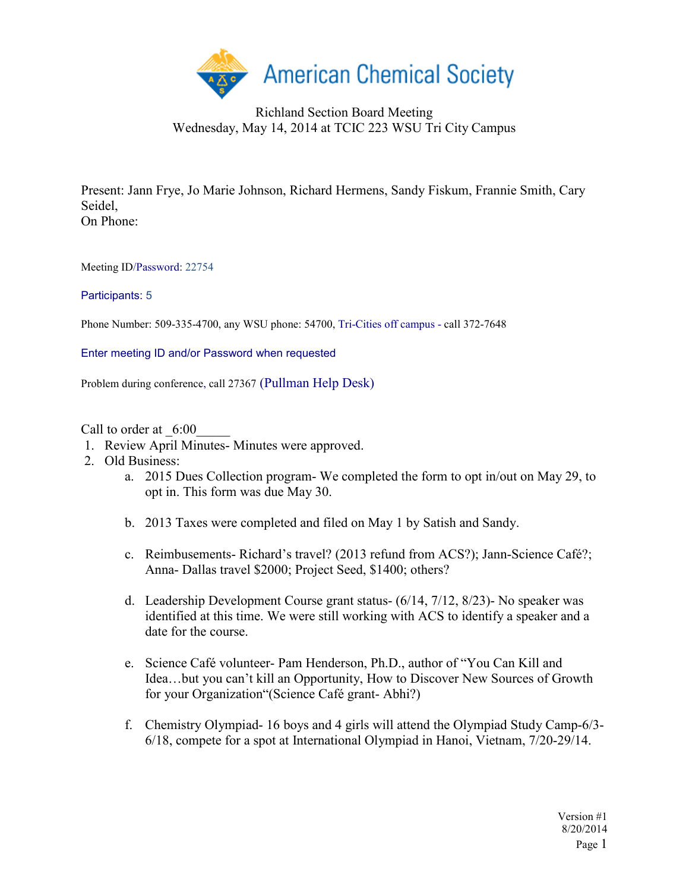

## Richland Section Board Meeting Wednesday, May 14, 2014 at TCIC 223 WSU Tri City Campus

Present: Jann Frye, Jo Marie Johnson, Richard Hermens, Sandy Fiskum, Frannie Smith, Cary Seidel, On Phone:

Meeting ID/Password: 22754

## Participants: 5

Phone Number: 509-335-4700, any WSU phone: 54700, Tri-Cities off campus - call 372-7648

Enter meeting ID and/or Password when requested

Problem during conference, call 27367 (Pullman Help Desk)

Call to order at  $6:00$ 

- 1. Review April Minutes- Minutes were approved.
- 2. Old Business:
	- a. 2015 Dues Collection program- We completed the form to opt in/out on May 29, to opt in. This form was due May 30.
	- b. 2013 Taxes were completed and filed on May 1 by Satish and Sandy.
	- c. Reimbusements- Richard's travel? (2013 refund from ACS?); Jann-Science Café?; Anna- Dallas travel \$2000; Project Seed, \$1400; others?
	- d. Leadership Development Course grant status- (6/14, 7/12, 8/23)- No speaker was identified at this time. We were still working with ACS to identify a speaker and a date for the course.
	- e. Science Café volunteer- Pam Henderson, Ph.D., author of "You Can Kill and Idea…but you can't kill an Opportunity, How to Discover New Sources of Growth for your Organization"(Science Café grant- Abhi?)
	- f. Chemistry Olympiad- 16 boys and 4 girls will attend the Olympiad Study Camp-6/3- 6/18, compete for a spot at International Olympiad in Hanoi, Vietnam, 7/20-29/14.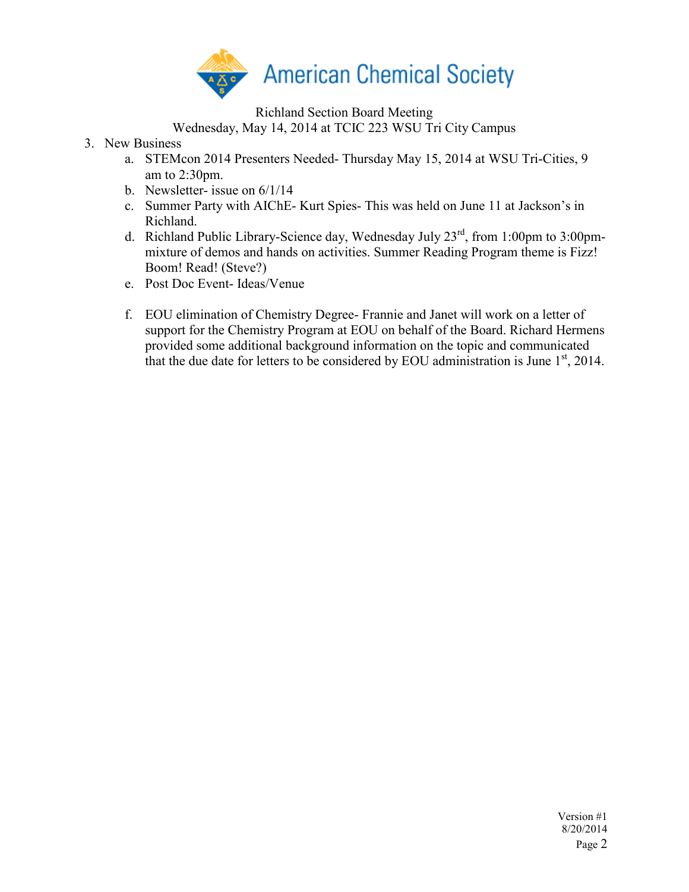

Richland Section Board Meeting

Wednesday, May 14, 2014 at TCIC 223 WSU Tri City Campus

- 3. New Business
	- a. STEMcon 2014 Presenters Needed- Thursday May 15, 2014 at WSU Tri-Cities, 9 am to  $2:30$ pm.
	- b. Newsletter- issue on 6/1/14
	- c. Summer Party with AIChE- Kurt Spies- This was held on June 11 at Jackson's in Richland.
	- d. Richland Public Library-Science day, Wednesday July 23rd, from 1:00pm to 3:00pmmixture of demos and hands on activities. Summer Reading Program theme is Fizz! Boom! Read! (Steve?)
	- e. Post Doc Event- Ideas/Venue
	- f. EOU elimination of Chemistry Degree- Frannie and Janet will work on a letter of support for the Chemistry Program at EOU on behalf of the Board. Richard Hermens provided some additional background information on the topic and communicated that the due date for letters to be considered by EOU administration is June  $1<sup>st</sup>$ , 2014.